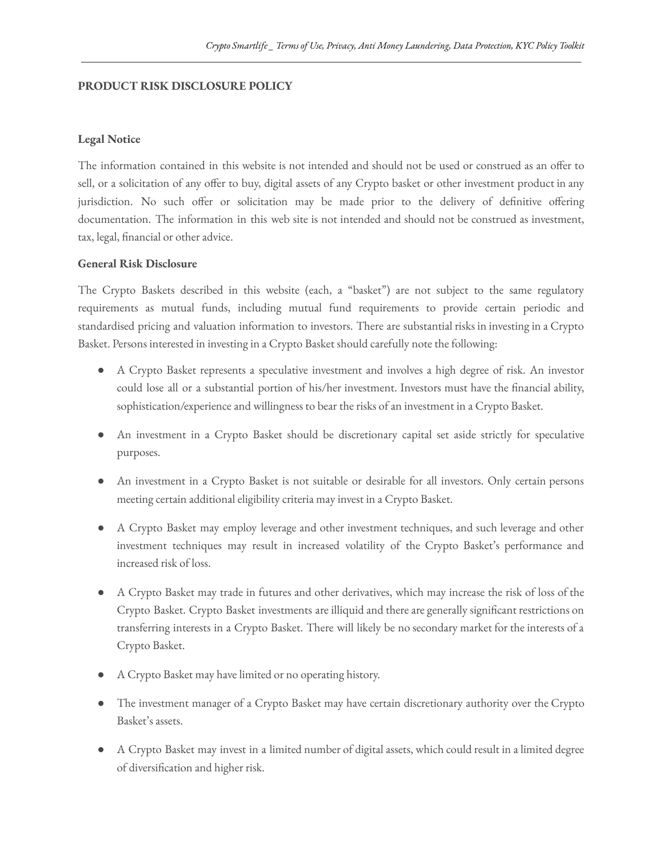## **PRODUCT RISK DISCLOSURE POLICY**

## **Legal Notice**

The information contained in this website is not intended and should not be used or construed as an offer to sell, or a solicitation of any offer to buy, digital assets of any Crypto basket or other investment product in any jurisdiction. No such offer or solicitation may be made prior to the delivery of definitive offering documentation. The information in this web site is not intended and should not be construed as investment, tax, legal, financial or other advice.

## **General Risk Disclosure**

The Crypto Baskets described in this website (each, a "basket") are not subject to the same regulatory requirements as mutual funds, including mutual fund requirements to provide certain periodic and standardised pricing and valuation information to investors. There are substantial risks in investing in a Crypto Basket. Persons interested in investing in a Crypto Basket should carefully note the following:

- A Crypto Basket represents a speculative investment and involves a high degree of risk. An investor could lose all or a substantial portion of his/her investment. Investors must have the financial ability, sophistication/experience and willingness to bear the risks of an investment in a Crypto Basket.
- An investment in a Crypto Basket should be discretionary capital set aside strictly for speculative purposes.
- An investment in a Crypto Basket is not suitable or desirable for all investors. Only certain persons meeting certain additional eligibility criteria may invest in a Crypto Basket.
- A Crypto Basket may employ leverage and other investment techniques, and such leverage and other investment techniques may result in increased volatility of the Crypto Basket's performance and increased risk of loss.
- A Crypto Basket may trade in futures and other derivatives, which may increase the risk of loss of the Crypto Basket. Crypto Basket investments are illiquid and there are generally significant restrictions on transferring interests in a Crypto Basket. There will likely be no secondary market for the interests of a Crypto Basket.
- A Crypto Basket may have limited or no operating history.
- The investment manager of a Crypto Basket may have certain discretionary authority over the Crypto Basket's assets.
- A Crypto Basket may invest in a limited number of digital assets, which could result in a limited degree of diversification and higher risk.